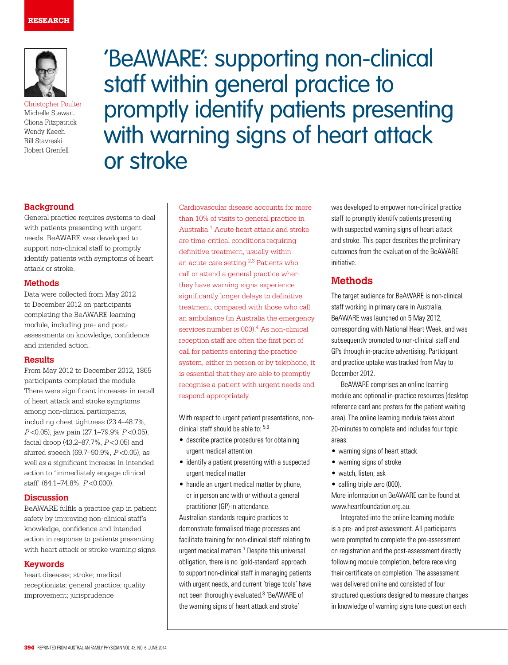

Christopher Poulter Michelle Stewart Cliona Fitzpatrick Wendy Keech Bill Stavreski Robert Grenfell

'BeAWARE': supporting non-clinical staff within general practice to promptly identify patients presenting with warning signs of heart attack or stroke

## **Background**

General practice requires systems to deal with patients presenting with urgent needs. BeAWARE was developed to support non-clinical staff to promptly identify patients with symptoms of heart attack or stroke.

## **Methods**

Data were collected from May 2012 to December 2012 on participants completing the BeAWARE learning module, including pre- and postassessments on knowledge, confidence and intended action.

## **Results**

From May 2012 to December 2012, 1865 participants completed the module. There were significant increases in recall of heart attack and stroke symptoms among non-clinical participants, including chest tightness (23.4–48.7%, <sup>P</sup> <0.05), jaw pain (27.1–79.9% P <0.05), facial droop (43.2–87.7%, P <0.05) and slurred speech (69.7–90.9%, P <0.05), as well as a significant increase in intended action to 'immediately engage clinical staff' (64.1–74.8%, P <0.000).

### **Discussion**

BeAWARE fulfils a practice gap in patient safety by improving non-clinical staff's knowledge, confidence and intended action in response to patients presenting with heart attack or stroke warning signs.

## **Keywords**

heart diseases; stroke; medical receptionists; general practice; quality improvement; jurisprudence

Cardiovascular disease accounts for more than 10% of visits to general practice in Australia.1 Acute heart attack and stroke are time-critical conditions requiring definitive treatment, usually within an acute care setting.2,3 Patients who call or attend a general practice when they have warning signs experience significantly longer delays to definitive treatment, compared with those who call an ambulance (in Australia the emergency services number is 000).<sup>4</sup> As non-clinical reception staff are often the first port of call for patients entering the practice system, either in person or by telephone, it is essential that they are able to promptly recognise a patient with urgent needs and respond appropriately.

With respect to urgent patient presentations, nonclinical staff should be able to: 5,6

- describe practice procedures for obtaining urgent medical attention
- identify a patient presenting with a suspected urgent medical matter
- handle an urgent medical matter by phone, or in person and with or without a general practitioner (GP) in attendance.

Australian standards require practices to demonstrate formalised triage processes and facilitate training for non-clinical staff relating to urgent medical matters.7 Despite this universal obligation, there is no 'gold-standard' approach to support non-clinical staff in managing patients with urgent needs, and current 'triage tools' have not been thoroughly evaluated.<sup>8</sup> 'BeAWARE of the warning signs of heart attack and stroke'

was developed to empower non-clinical practice staff to promptly identify patients presenting with suspected warning signs of heart attack and stroke. This paper describes the preliminary outcomes from the evaluation of the BeAWARE initiative.

# **Methods**

The target audience for BeAWARE is non-clinical staff working in primary care in Australia. BeAWARE was launched on 5 May 2012, corresponding with National Heart Week, and was subsequently promoted to non-clinical staff and GPs through in-practice advertising. Participant and practice uptake was tracked from May to December 2012.

BeAWARE comprises an online learning module and optional in-practice resources (desktop reference card and posters for the patient waiting area). The online learning module takes about 20-minutes to complete and includes four topic areas:

- warning signs of heart attack
- warning signs of stroke
- watch, listen, ask
- calling triple zero (000).

More information on BeAWARE can be found at www.heartfoundation.org.au.

Integrated into the online learning module is a pre- and post-assessment. All participants were prompted to complete the pre-assessment on registration and the post-assessment directly following module completion, before receiving their certificate on completion. The assessment was delivered online and consisted of four structured questions designed to measure changes in knowledge of warning signs (one question each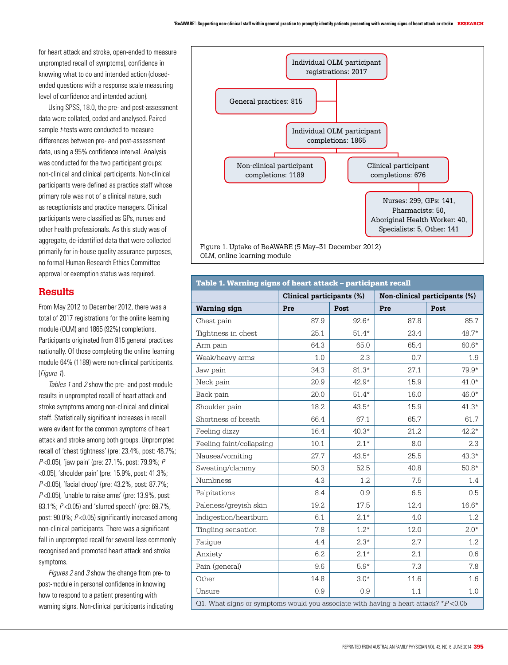for heart attack and stroke, open-ended to measure unprompted recall of symptoms), confidence in knowing what to do and intended action (closedended questions with a response scale measuring level of confidence and intended action).

Using SPSS, 18.0, the pre- and post-assessment data were collated, coded and analysed. Paired sample *t*-tests were conducted to measure differences between pre- and post-assessment data, using a 95% confidence interval. Analysis was conducted for the two participant groups: non-clinical and clinical participants. Non-clinical participants were defined as practice staff whose primary role was not of a clinical nature, such as receptionists and practice managers. Clinical participants were classified as GPs, nurses and other health professionals. As this study was of aggregate, de-identified data that were collected primarily for in-house quality assurance purposes, no formal Human Research Ethics Committee approval or exemption status was required.

## **Results**

From May 2012 to December 2012, there was a total of 2017 registrations for the online learning module (OLM) and 1865 (92%) completions. Participants originated from 815 general practices nationally. Of those completing the online learning module 64% (1189) were non-clinical participants. (Figure 1).

Tables 1 and 2 show the pre- and post-module results in unprompted recall of heart attack and stroke symptoms among non-clinical and clinical staff. Statistically significant increases in recall were evident for the common symptoms of heart attack and stroke among both groups. Unprompted recall of 'chest tightness' (pre: 23.4%, post: 48.7%; P <0.05), 'jaw pain' (pre: 27.1%, post: 79.9%; P <0.05), 'shoulder pain' (pre: 15.9%, post: 41.3%; P <0.05), 'facial droop' (pre: 43.2%, post: 87.7%; P<0.05), 'unable to raise arms' (pre: 13.9%, post: 83.1%; P <0.05) and 'slurred speech' (pre: 69.7%, post:  $90.0\%$ ;  $P < 0.05$ ) significantly increased among non-clinical participants. There was a significant fall in unprompted recall for several less commonly recognised and promoted heart attack and stroke symptoms.

Figures 2 and 3 show the change from pre- to post-module in personal confidence in knowing how to respond to a patient presenting with warning signs. Non-clinical participants indicating



| Table 1. Warning signs of heart attack - participant recall                            |                           |         |                               |         |  |  |  |
|----------------------------------------------------------------------------------------|---------------------------|---------|-------------------------------|---------|--|--|--|
|                                                                                        | Clinical participants (%) |         | Non-clinical participants (%) |         |  |  |  |
| <b>Warning sign</b>                                                                    | Pre                       | Post    | Pre                           | Post    |  |  |  |
| Chest pain                                                                             | 87.9                      | $92.6*$ | 87.8                          | 85.7    |  |  |  |
| Tightness in chest                                                                     | 25.1                      | $51.4*$ | 23.4                          | 48.7*   |  |  |  |
| Arm pain                                                                               | 64.3                      | 65.0    | 65.4                          | $60.6*$ |  |  |  |
| Weak/heavy arms                                                                        | 1.0                       | 2.3     | 0.7                           | 1.9     |  |  |  |
| Jaw pain                                                                               | 34.3                      | $81.3*$ | 27.1                          | 79.9*   |  |  |  |
| Neck pain                                                                              | 20.9                      | 42.9*   | 15.9                          | $41.0*$ |  |  |  |
| Back pain                                                                              | 20.0                      | $51.4*$ | 16.0                          | $46.0*$ |  |  |  |
| Shoulder pain                                                                          | 18.2                      | $43.5*$ | 15.9                          | $41.3*$ |  |  |  |
| Shortness of breath                                                                    | 66.4                      | 67.1    | 65.7                          | 61.7    |  |  |  |
| Feeling dizzy                                                                          | 16.4                      | $40.3*$ | 21.2                          | $42.2*$ |  |  |  |
| Feeling faint/collapsing                                                               | 10.1                      | $2.1*$  | 8.0                           | 2.3     |  |  |  |
| Nausea/vomiting                                                                        | 27.7                      | $43.5*$ | 25.5                          | $43.3*$ |  |  |  |
| Sweating/clammy                                                                        | 50.3                      | 52.5    | 40.8                          | $50.8*$ |  |  |  |
| <b>Numbness</b>                                                                        | 4.3                       | 1.2     | 7.5                           | 1.4     |  |  |  |
| Palpitations                                                                           | 8.4                       | 0.9     | 6.5                           | 0.5     |  |  |  |
| Paleness/greyish skin                                                                  | 19.2                      | 17.5    | 12.4                          | $16.6*$ |  |  |  |
| Indigestion/heartburn                                                                  | 6.1                       | $2.1*$  | 4.0                           | 1.2     |  |  |  |
| Tingling sensation                                                                     | 7.8                       | $1.2*$  | 12.0                          | $2.0*$  |  |  |  |
| Fatique                                                                                | 4.4                       | $2.3*$  | 2.7                           | 1.2     |  |  |  |
| Anxiety                                                                                | 6.2                       | $2.1*$  | 2.1                           | 0.6     |  |  |  |
| Pain (general)                                                                         | 9.6                       | $5.9*$  | 7.3                           | 7.8     |  |  |  |
| Other                                                                                  | 14.8                      | $3.0*$  | 11.6                          | 1.6     |  |  |  |
| Unsure                                                                                 | 0.9                       | 0.9     | 1.1                           | 1.0     |  |  |  |
| Q1. What signs or symptoms would you associate with having a heart attack? $*P < 0.05$ |                           |         |                               |         |  |  |  |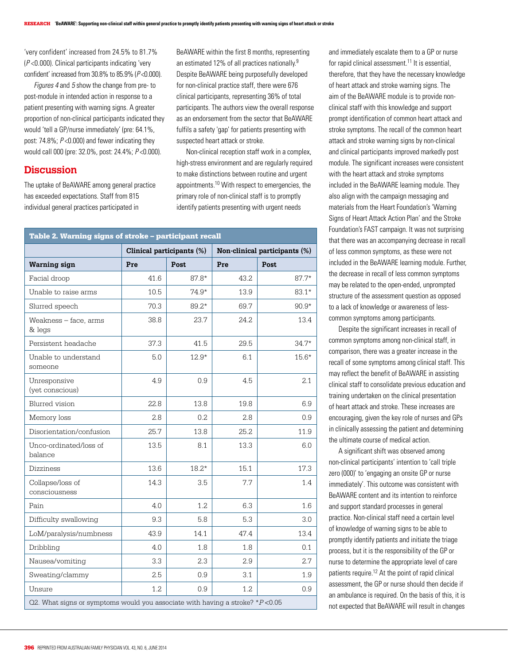'very confident' increased from 24.5% to 81.7% (P <0.000). Clinical participants indicating 'very confident' increased from  $30.8\%$  to  $85.9\%$  ( $P < 0.000$ ).

Figures 4 and 5 show the change from pre- to post-module in intended action in response to a patient presenting with warning signs. A greater proportion of non-clinical participants indicated they would 'tell a GP/nurse immediately' (pre: 64.1%, post: 74.8%;  $P < 0.000$ ) and fewer indicating they would call 000 (pre: 32.0%, post: 24.4%; P <0.000).

## **Discussion**

The uptake of BeAWARE among general practice has exceeded expectations. Staff from 815 individual general practices participated in

BeAWARE within the first 8 months, representing an estimated 12% of all practices nationally.9 Despite BeAWARE being purposefully developed for non-clinical practice staff, there were 676 clinical participants, representing 36% of total participants. The authors view the overall response as an endorsement from the sector that BeAWARE fulfils a safety 'gap' for patients presenting with suspected heart attack or stroke.

Non-clinical reception staff work in a complex, high-stress environment and are regularly required to make distinctions between routine and urgent appointments.10 With respect to emergencies, the primary role of non-clinical staff is to promptly identify patients presenting with urgent needs

#### Table 2. Warning signs of stroke – participant recall

|                                                                                 | Clinical participants (%) |         | Non-clinical participants (%) |         |  |
|---------------------------------------------------------------------------------|---------------------------|---------|-------------------------------|---------|--|
| <b>Warning sign</b>                                                             | Pre                       | Post    | Pre                           | Post    |  |
| Facial droop                                                                    | 41.6                      | $87.8*$ | 43.2                          | $87.7*$ |  |
| Unable to raise arms                                                            | 10.5                      | $74.9*$ | 13.9                          | $83.1*$ |  |
| Slurred speech                                                                  | 70.3                      | 89.2*   | 69.7                          | $90.9*$ |  |
| Weakness - face, arms<br>& legs                                                 | 38.8                      | 23.7    | 24.2                          | 13.4    |  |
| Persistent headache                                                             | 37.3                      | 41.5    | 29.5                          | $34.7*$ |  |
| Unable to understand<br>someone                                                 | 5.0                       | $12.9*$ | 6.1                           | $15.6*$ |  |
| Unresponsive<br>(yet conscious)                                                 | 4.9                       | 0.9     | 4.5                           | 2.1     |  |
| Blurred vision                                                                  | 22.8                      | 13.8    | 19.8                          | 6.9     |  |
| Memory loss                                                                     | 2.8                       | 0.2     | 2.8                           | 0.9     |  |
| Disorientation/confusion                                                        | 25.7                      | 13.8    | 25.2                          | 11.9    |  |
| Unco-ordinated/loss of<br>balance                                               | 13.5                      | 8.1     | 13.3                          | 6.0     |  |
| Dizziness                                                                       | 13.6                      | $18.2*$ | 15.1                          | 17.3    |  |
| Collapse/loss of<br>consciousness                                               | 14.3                      | 3.5     | 7.7                           | 1.4     |  |
| Pain                                                                            | 4.0                       | 1.2     | 6.3                           | 1.6     |  |
| Difficulty swallowing                                                           | 9.3                       | 5.8     | 5.3                           | 3.0     |  |
| LoM/paralysis/numbness                                                          | 43.9                      | 14.1    | 47.4                          | 13.4    |  |
| Dribbling                                                                       | 4.0                       | 1.8     | 1.8                           | 0.1     |  |
| Nausea/vomiting                                                                 | 3.3                       | 2.3     | 2.9                           | 2.7     |  |
| Sweating/clammy                                                                 | 2.5                       | 0.9     | 3.1                           | 1.9     |  |
| Unsure                                                                          | 1.2                       | 0.9     | 1.2                           | 0.9     |  |
| Q2. What signs or symptoms would you associate with having a stroke? $*P$ <0.05 |                           |         |                               |         |  |

for rapid clinical assessment.<sup>11</sup> It is essential, therefore, that they have the necessary knowledge of heart attack and stroke warning signs. The aim of the BeAWARE module is to provide nonclinical staff with this knowledge and support prompt identification of common heart attack and stroke symptoms. The recall of the common heart attack and stroke warning signs by non-clinical and clinical participants improved markedly post module. The significant increases were consistent with the heart attack and stroke symptoms included in the BeAWARE learning module. They also align with the campaign messaging and materials from the Heart Foundation's 'Warning Signs of Heart Attack Action Plan' and the Stroke Foundation's FAST campaign. It was not surprising that there was an accompanying decrease in recall of less common symptoms, as these were not included in the BeAWARE learning module. Further, the decrease in recall of less common symptoms may be related to the open-ended, unprompted structure of the assessment question as opposed to a lack of knowledge or awareness of lesscommon symptoms among participants.

and immediately escalate them to a GP or nurse

Despite the significant increases in recall of common symptoms among non-clinical staff, in comparison, there was a greater increase in the recall of some symptoms among clinical staff. This may reflect the benefit of BeAWARE in assisting clinical staff to consolidate previous education and training undertaken on the clinical presentation of heart attack and stroke. These increases are encouraging, given the key role of nurses and GPs in clinically assessing the patient and determining the ultimate course of medical action.

A significant shift was observed among non-clinical participants' intention to 'call triple zero (000)' to 'engaging an onsite GP or nurse immediately'. This outcome was consistent with BeAWARE content and its intention to reinforce and support standard processes in general practice. Non-clinical staff need a certain level of knowledge of warning signs to be able to promptly identify patients and initiate the triage process, but it is the responsibility of the GP or nurse to determine the appropriate level of care patients require.<sup>12</sup> At the point of rapid clinical assessment, the GP or nurse should then decide if an ambulance is required. On the basis of this, it is not expected that BeAWARE will result in changes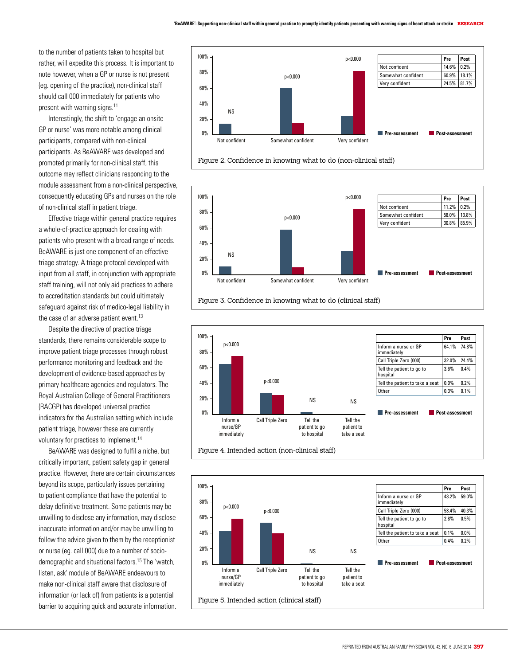to the number of patients taken to hospital but rather, will expedite this process. It is important to note however, when a GP or nurse is not present (eg. opening of the practice), non-clinical staff should call 000 immediately for patients who present with warning signs.<sup>11</sup>

Interestingly, the shift to 'engage an onsite GP or nurse' was more notable among clinical participants, compared with non-clinical participants. As BeAWARE was developed and promoted primarily for non-clinical staff, this outcome may reflect clinicians responding to the module assessment from a non-clinical perspective, consequently educating GPs and nurses on the role of non-clinical staff in patient triage.

Effective triage within general practice requires a whole-of-practice approach for dealing with patients who present with a broad range of needs. BeAWARE is just one component of an effective triage strategy. A triage protocol developed with input from all staff, in conjunction with appropriate staff training, will not only aid practices to adhere to accreditation standards but could ultimately safeguard against risk of medico-legal liability in the case of an adverse patient event.<sup>13</sup>

Despite the directive of practice triage standards, there remains considerable scope to improve patient triage processes through robust performance monitoring and feedback and the development of evidence-based approaches by primary healthcare agencies and regulators. The Royal Australian College of General Practitioners (RACGP) has developed universal practice indicators for the Australian setting which include patient triage, however these are currently voluntary for practices to implement.<sup>14</sup>

BeAWARE was designed to fulfil a niche, but critically important, patient safety gap in general practice. However, there are certain circumstances beyond its scope, particularly issues pertaining to patient compliance that have the potential to delay definitive treatment. Some patients may be unwilling to disclose any information, may disclose inaccurate information and/or may be unwilling to follow the advice given to them by the receptionist or nurse (eg. call 000) due to a number of sociodemographic and situational factors.15 The 'watch, listen, ask' module of BeAWARE endeavours to make non-clinical staff aware that disclosure of information (or lack of) from patients is a potential barrier to acquiring quick and accurate information.



Figure 2. Confidence in knowing what to do (non-clinical staff)